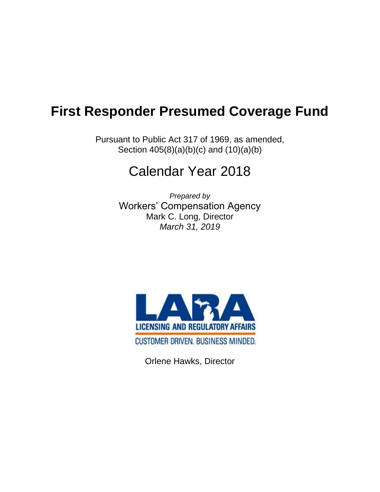## **First Responder Presumed Coverage Fund**

Pursuant to Public Act 317 of 1969, as amended, Section 405(8)(a)(b)(c) and (10)(a)(b)

## Calendar Year 2018

*Prepared by* Workers' Compensation Agency Mark C. Long, Director *March 31, 2019*



Orlene Hawks, Director